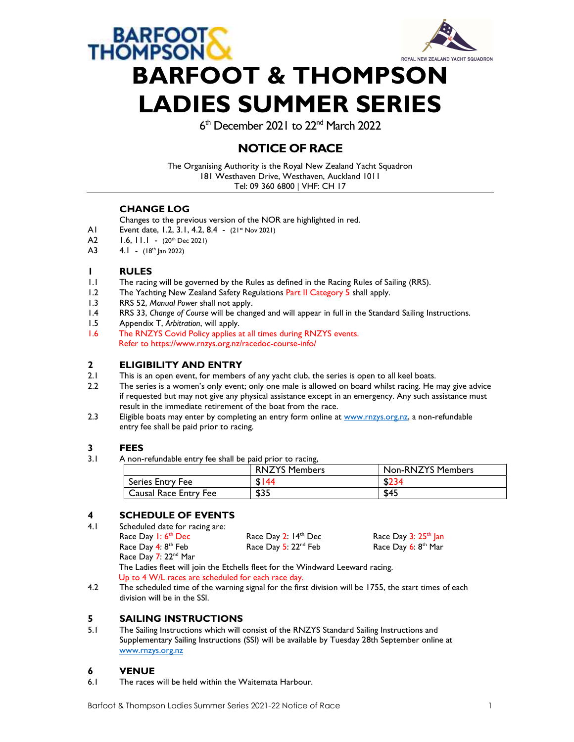

6<sup>th</sup> December 2021 to 22<sup>nd</sup> March 2022

### NOTICE OF RACE

The Organising Authority is the Royal New Zealand Yacht Squadron 181 Westhaven Drive, Westhaven, Auckland 1011 Tel: 09 360 6800 | VHF: CH 17

#### CHANGE LOG

Changes to the previous version of the NOR are highlighted in red.

- A1 Event date, 1.2, 3.1, 4.2, 8.4 (2<sup>1st</sup> Nov 2021)
- A2 1.6, 11.1 (20<sup>th</sup> Dec 2021)
- A3 4.1 (18th Jan 2022)

#### 1 RULES

- 1.1 The racing will be governed by the Rules as defined in the Racing Rules of Sailing (RRS).
- 1.2 The Yachting New Zealand Safety Regulations Part II Category 5 shall apply.
- 1.3 RRS 52, Manual Power shall not apply.
- 1.4 RRS 33, Change of Course will be changed and will appear in full in the Standard Sailing Instructions.
- 1.5 Appendix T, Arbitration, will apply.
- 1.6 The RNZYS Covid Policy applies at all times during RNZYS events. Refer to https://www.rnzys.org.nz/racedoc-course-info/

#### 2 ELIGIBILITY AND ENTRY

- 2.1 This is an open event, for members of any yacht club, the series is open to all keel boats.<br>2.2 The series is a women's only event: only one male is allowed on board whilst racing. He i
- The series is a women's only event; only one male is allowed on board whilst racing. He may give advice if requested but may not give any physical assistance except in an emergency. Any such assistance must result in the immediate retirement of the boat from the race.
- 2.3 Eligible boats may enter by completing an entry form online at www.rnzys.org.nz, a non-refundable entry fee shall be paid prior to racing.

#### 3 FEES

3.1 A non-refundable entry fee shall be paid prior to racing,

|                       | <b>RNZYS Members</b> | Non-RNZYS Members |
|-----------------------|----------------------|-------------------|
| Series Entry Fee      | \$144                | \$234             |
| Causal Race Entry Fee | \$35                 | \$45              |

#### 4 SCHEDULE OF EVENTS

- 4.1 Scheduled date for racing are:
	- Race Day 1:  $6<sup>th</sup>$  Dec Race Day 2:  $14<sup>th</sup>$  Dec Race Day 3:  $25<sup>th</sup>$  Jan Race Day 4:  $8^{th}$  Feb Race Day 5:  $22^{nd}$  Feb Race Day 6:  $8^{th}$  Mar Race Day 7: 22<sup>nd</sup> Mar

The Ladies fleet will join the Etchells fleet for the Windward Leeward racing. Up to 4 W/L races are scheduled for each race day.

4.2 The scheduled time of the warning signal for the first division will be 1755, the start times of each division will be in the SSI.

### **5 SAILING INSTRUCTIONS**<br>5.1 The Sailing Instructions which will g

The Sailing Instructions which will consist of the RNZYS Standard Sailing Instructions and Supplementary Sailing Instructions (SSI) will be available by Tuesday 28th September online at www.rnzys.org.nz

#### 6 VENUE

6.1 The races will be held within the Waitemata Harbour.